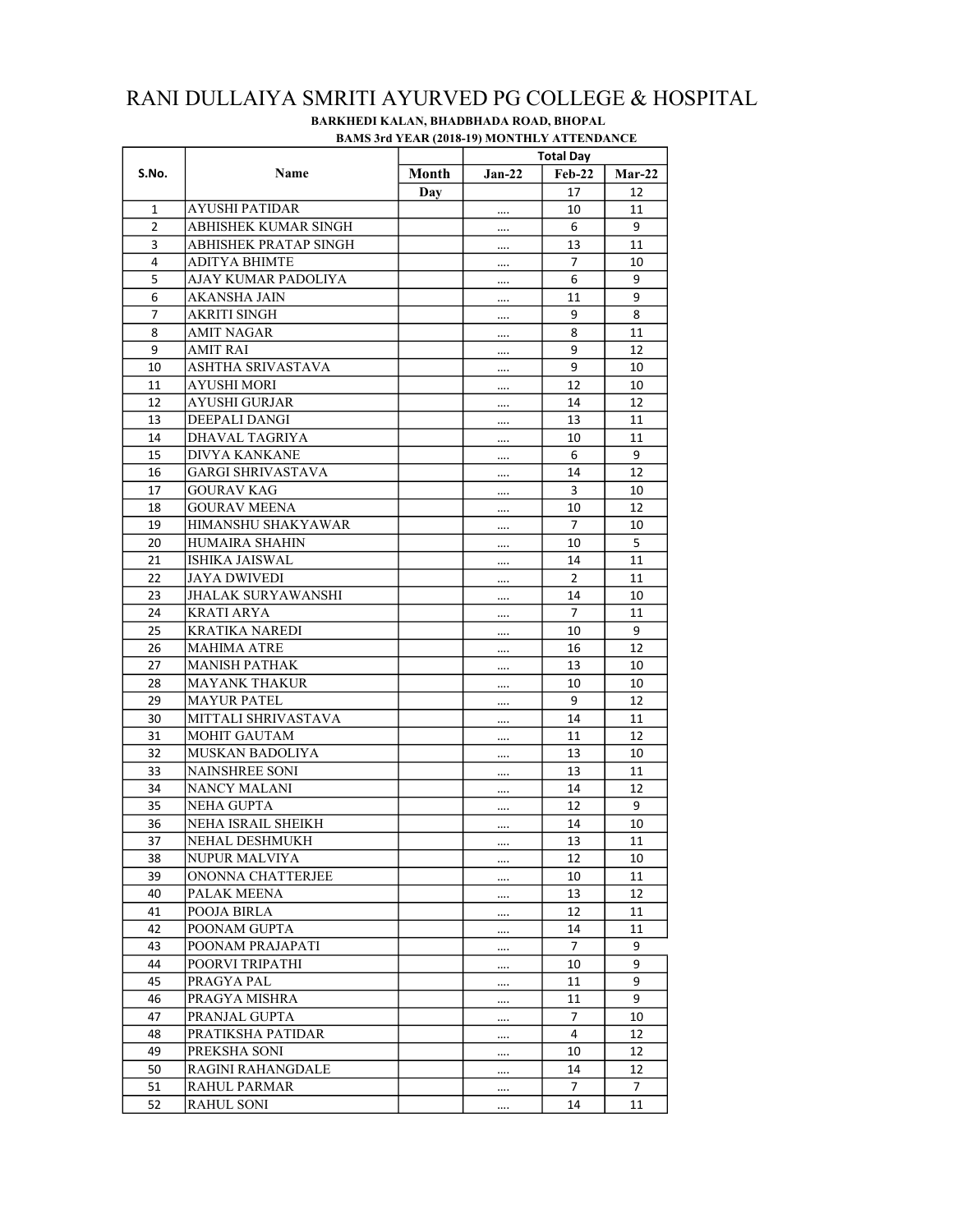|                |                           |            | <b>DAMS JIU TEAN (2010-17) MONTHET ATTENDANCE</b><br><b>Total Day</b> |                |               |  |
|----------------|---------------------------|------------|-----------------------------------------------------------------------|----------------|---------------|--|
| S.No.          | Name                      | Month      | $Jan-22$                                                              | <b>Feb-22</b>  | <b>Mar-22</b> |  |
|                |                           |            |                                                                       |                |               |  |
|                | <b>AYUSHI PATIDAR</b>     | <b>Day</b> |                                                                       | 17             | 12            |  |
| 1              |                           |            |                                                                       | 10             | 11            |  |
| 2              | ABHISHEK KUMAR SINGH      |            |                                                                       | 6              | 9             |  |
| 3              | ABHISHEK PRATAP SINGH     |            |                                                                       | 13             | 11            |  |
| $\overline{4}$ | <b>ADITYA BHIMTE</b>      |            |                                                                       | $\overline{7}$ | 10            |  |
| 5              | AJAY KUMAR PADOLIYA       |            |                                                                       | 6              | 9             |  |
| 6              | <b>AKANSHA JAIN</b>       |            |                                                                       | 11             | 9             |  |
| $\overline{7}$ | <b>AKRITI SINGH</b>       |            |                                                                       | 9              | 8             |  |
| 8              | <b>AMIT NAGAR</b>         |            |                                                                       | 8              | 11            |  |
| 9              | <b>AMIT RAI</b>           |            |                                                                       | 9              | 12            |  |
| 10             | ASHTHA SRIVASTAVA         |            |                                                                       | 9              | 10            |  |
| 11             | AYUSHI MORI               |            |                                                                       | 12             | 10            |  |
| 12             | <b>AYUSHI GURJAR</b>      |            |                                                                       | 14             | 12            |  |
| 13             | DEEPALI DANGI             |            |                                                                       | 13             | 11            |  |
| 14             | DHAVAL TAGRIYA            |            |                                                                       | 10             | 11            |  |
| 15             | <b>DIVYA KANKANE</b>      |            |                                                                       | 6              | 9             |  |
| 16             | <b>GARGI SHRIVASTAVA</b>  |            |                                                                       | 14             | 12            |  |
| 17             | <b>GOURAV KAG</b>         |            |                                                                       | 3              | 10            |  |
| 18             | <b>GOURAV MEENA</b>       |            |                                                                       | 10             | 12            |  |
| 19             | HIMANSHU SHAKYAWAR        |            |                                                                       | $\overline{7}$ | 10            |  |
| 20             | HUMAIRA SHAHIN            |            |                                                                       | 10             | 5             |  |
| 21             | <b>ISHIKA JAISWAL</b>     |            |                                                                       | 14             | 11            |  |
| 22             | <b>JAYA DWIVEDI</b>       |            |                                                                       | $\overline{2}$ | 11            |  |
| 23             | <b>JHALAK SURYAWANSHI</b> |            |                                                                       | 14             | 10            |  |
| 24             | <b>KRATI ARYA</b>         |            |                                                                       | $\overline{7}$ | 11            |  |
| 25             | <b>KRATIKA NAREDI</b>     |            |                                                                       | 10             | 9             |  |
| 26             | <b>MAHIMA ATRE</b>        |            |                                                                       | 16             | 12            |  |
| 27             | <b>MANISH PATHAK</b>      |            |                                                                       | 13             | 10            |  |
| 28             | <b>MAYANK THAKUR</b>      |            |                                                                       | 10             | 10            |  |
| 29             | <b>MAYUR PATEL</b>        |            |                                                                       | 9              | 12            |  |
| 30             | MITTALI SHRIVASTAVA       |            |                                                                       | 14             | 11            |  |
| 31             | <b>MOHIT GAUTAM</b>       |            |                                                                       | 11             | 12            |  |
| 32             | MUSKAN BADOLIYA           |            |                                                                       | 13             | 10            |  |
| 33             | <b>NAINSHREE SONI</b>     |            |                                                                       | 13             | 11            |  |
| 34             | <b>NANCY MALANI</b>       |            |                                                                       | 14             | 12            |  |
| 35             | NEHA GUPTA                |            |                                                                       | 12             | 9             |  |
| 36             | NEHA ISRAIL SHEIKH        |            |                                                                       | 14             | 10            |  |
| 37             | NEHAL DESHMUKH            |            |                                                                       | 13             | 11            |  |
| 38             | <b>NUPUR MALVIYA</b>      |            |                                                                       | 12             | 10            |  |
| 39             | ONONNA CHATTERJEE         |            |                                                                       | 10             | 11            |  |
| 40             | PALAK MEENA               |            |                                                                       | 13             | 12            |  |
| 41             | POOJA BIRLA               |            |                                                                       | 12             | 11            |  |
| 42             | POONAM GUPTA              |            |                                                                       | 14             | 11            |  |
| 43             | POONAM PRAJAPATI          |            |                                                                       | 7              | 9             |  |
| 44             | POORVI TRIPATHI           |            |                                                                       |                | 9             |  |
| 45             | PRAGYA PAL                |            |                                                                       | 10<br>11       | 9             |  |
|                | PRAGYA MISHRA             |            |                                                                       |                |               |  |
| 46             |                           |            |                                                                       | 11             | 9             |  |
| 47             | PRANJAL GUPTA             |            |                                                                       | $\overline{7}$ | 10            |  |
| 48             | PRATIKSHA PATIDAR         |            |                                                                       | 4              | 12            |  |
| 49             | PREKSHA SONI              |            |                                                                       | 10             | 12            |  |
| 50             | <b>RAGINI RAHANGDALE</b>  |            |                                                                       | 14             | 12            |  |
| 51             | <b>RAHUL PARMAR</b>       |            |                                                                       | 7              | 7             |  |
| 52             | <b>RAHUL SONI</b>         |            |                                                                       | 14             | 11            |  |

## RANI DULLAIYA SMRITI AYURVED PG COLLEGE & HOSPITAL BAMS 3rd YEAR (2018-19) MONTHLY ATTENDANCE BARKHEDI KALAN, BHADBHADA ROAD, BHOPAL